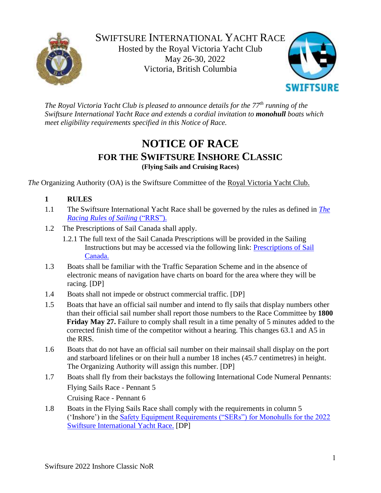



*The Royal Victoria Yacht Club is pleased to announce details for the 77th running of the Swiftsure International Yacht Race and extends a cordial invitation to monohull boats which meet eligibility requirements specified in this Notice of Race.*

# **NOTICE OF RACE FOR THE SWIFTSURE INSHORE CLASSIC (Flying Sails and Cruising Races)**

*The* Organizing Authority (OA) is the Swiftsure Committee of the [Royal Victoria Yacht Club.](http://www.rvyc.bc.ca/)

# **1 RULES**

- 1.1 The Swiftsure International Yacht Race shall be governed by the rules as defined in *[The](https://www.sailing.org/tools/documents/WSRRS20212024FinalwithChgsandCorrecns201113-%5b26798%5d.pdf)  [Racing Rules of Sailing](https://www.sailing.org/tools/documents/WSRRS20212024FinalwithChgsandCorrecns201113-%5b26798%5d.pdf)* ("RRS").
- 1.2 The Prescriptions of Sail Canada shall apply.
	- 1.2.1 The full text of the Sail Canada Prescriptions will be provided in the Sailing Instructions but may be accessed via the following link: [Prescriptions of Sail](http://www.sailing.ca/files/RRS_2017_2020_Sail_Canada_Prescription_Final_EN.pdf)  [Canada.](http://www.sailing.ca/files/RRS_2017_2020_Sail_Canada_Prescription_Final_EN.pdf)
- 1.3 Boats shall be familiar with the Traffic Separation Scheme and in the absence of electronic means of navigation have charts on board for the area where they will be racing. [DP]
- 1.4 Boats shall not impede or obstruct commercial traffic. [DP]
- 1.5 Boats that have an official sail number and intend to fly sails that display numbers other than their official sail number shall report those numbers to the Race Committee by **1800 Friday May 27.** Failure to comply shall result in a time penalty of 5 minutes added to the corrected finish time of the competitor without a hearing. This changes 63.1 and A5 in the RRS.
- 1.6 Boats that do not have an official sail number on their mainsail shall display on the port and starboard lifelines or on their hull a number 18 inches (45.7 centimetres) in height. The Organizing Authority will assign this number. [DP]
- 1.7 Boats shall fly from their backstays the following International Code Numeral Pennants: Flying Sails Race - Pennant 5 Cruising Race - Pennant 6
- 1.8 Boats in the Flying Sails Race shall comply with the requirements in column 5 ('Inshore') in the [Safety Equipment Requirements \("SERs"\) for Monohulls for the 2022](https://www.swiftsure.org/wp-content/uploads/2022/02/Monohull-Safety-Equipment-Requirements-for-the-2022-Swiftsure-International-Yacht-Race.pdf)  [Swiftsure International Yacht Race.](https://www.swiftsure.org/wp-content/uploads/2022/02/Monohull-Safety-Equipment-Requirements-for-the-2022-Swiftsure-International-Yacht-Race.pdf) [DP]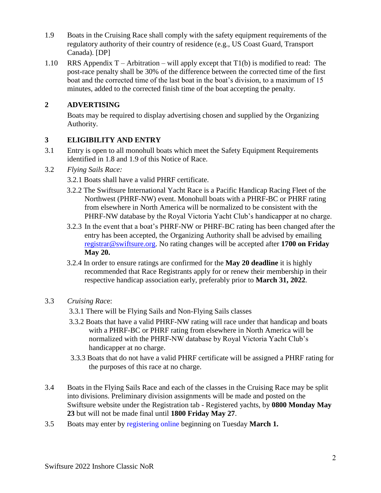- 1.9 Boats in the Cruising Race shall comply with the safety equipment requirements of the regulatory authority of their country of residence (e.g., US Coast Guard, Transport Canada). [DP]
- 1.10 RRS Appendix  $T -$  Arbitration will apply except that  $T1(b)$  is modified to read: The post-race penalty shall be 30% of the difference between the corrected time of the first boat and the corrected time of the last boat in the boat's division, to a maximum of 15 minutes, added to the corrected finish time of the boat accepting the penalty.

## **2 ADVERTISING**

Boats may be required to display advertising chosen and supplied by the Organizing Authority.

#### **3 ELIGIBILITY AND ENTRY**

- 3.1 Entry is open to all monohull boats which meet the Safety Equipment Requirements identified in 1.8 and 1.9 of this Notice of Race.
- 3.2 *Flying Sails Race:*
	- 3.2.1 Boats shall have a valid PHRF certificate.
	- 3.2.2 The Swiftsure International Yacht Race is a Pacific Handicap Racing Fleet of the Northwest (PHRF-NW) event. Monohull boats with a PHRF-BC or PHRF rating from elsewhere in North America will be normalized to be consistent with the PHRF-NW database by the Royal Victoria Yacht Club's handicapper at no charge.
	- 3.2.3 In the event that a boat's PHRF-NW or PHRF-BC rating has been changed after the entry has been accepted, the Organizing Authority shall be advised by emailing [registrar@swiftsure.org.](mailto:registrar@swiftsure.org) No rating changes will be accepted after **1700 on Friday May 20.**
	- 3.2.4 In order to ensure ratings are confirmed for the **May 20 deadline** it is highly recommended that Race Registrants apply for or renew their membership in their respective handicap association early, preferably prior to **March 31, 2022**.
- 3.3 *Cruising Rac*e:
	- 3.3.1 There will be Flying Sails and Non-Flying Sails classes
	- 3.3.2 Boats that have a valid PHRF-NW rating will race under that handicap and boats with a PHRF-BC or PHRF rating from elsewhere in North America will be normalized with the PHRF-NW database by Royal Victoria Yacht Club's handicapper at no charge.
	- 3.3.3 Boats that do not have a valid PHRF certificate will be assigned a PHRF rating for the purposes of this race at no charge.
- 3.4 Boats in the Flying Sails Race and each of the classes in the Cruising Race may be split into divisions. Preliminary division assignments will be made and posted on the Swiftsure website under the Registration tab - Registered yachts, by **0800 Monday May 23** but will not be made final until **1800 Friday May 27**.
- 3.5 Boats may enter by [registering online](http://www.swiftsure.org/registration/) beginning on Tuesday **March 1.**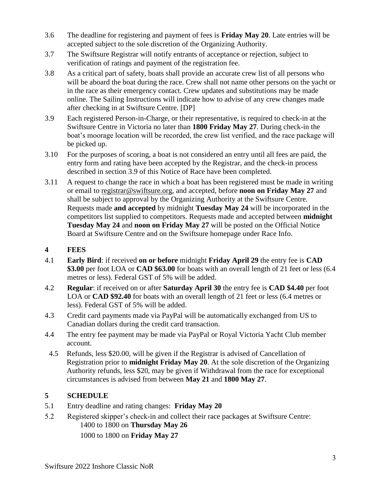- 3.6 The deadline for registering and payment of fees is **Friday May 20**. Late entries will be accepted subject to the sole discretion of the Organizing Authority.
- 3.7 The Swiftsure Registrar will notify entrants of acceptance or rejection, subject to verification of ratings and payment of the registration fee.
- 3.8 As a critical part of safety, boats shall provide an accurate crew list of all persons who will be aboard the boat during the race. Crew shall not name other persons on the yacht or in the race as their emergency contact. Crew updates and substitutions may be made online. The Sailing Instructions will indicate how to advise of any crew changes made after checking in at Swiftsure Centre. [DP]
- 3.9 Each registered Person-in-Charge, or their representative, is required to check-in at the Swiftsure Centre in Victoria no later than **1800 Friday May 27**. During check-in the boat's moorage location will be recorded, the crew list verified, and the race package will be picked up.
- 3.10 For the purposes of scoring, a boat is not considered an entry until all fees are paid, the entry form and rating have been accepted by the Registrar, and the check-in process described in section 3.9 of this Notice of Race have been completed.
- 3.11 A request to change the race in which a boat has been registered must be made in writing or email to [registrar@swiftsure.org,](mailto:registrar@swiftsure.org) and accepted, before **noon on Friday May 27** and shall be subject to approval by the Organizing Authority at the Swiftsure Centre. Requests made **and accepted** by midnight **Tuesday May 24** will be incorporated in the competitors list supplied to competitors. Requests made and accepted between **midnight Tuesday May 24** and **noon on Friday May 27** will be posted on the Official Notice Board at Swiftsure Centre and on the Swiftsure homepage under Race Info.
- **4 FEES**
- 4.1 **Early Bird**: if received **on or before** midnight **Friday April 29** the entry fee is **CAD \$3.00** per foot LOA or **CAD \$63.00** for boats with an overall length of 21 feet or less (6.4 metres or less). Federal GST of 5% will be added.
- 4.2 **Regular**: if received on or after **Saturday April 30** the entry fee is **CAD \$4.40** per foot LOA or **CAD \$92.40** for boats with an overall length of 21 feet or less (6.4 metres or less). Federal GST of 5% will be added.
- 4.3 Credit card payments made via PayPal will be automatically exchanged from US to Canadian dollars during the credit card transaction.
- 4.4 The entry fee payment may be made via PayPal or Royal Victoria Yacht Club member account.
- 4.5 Refunds, less \$20.00, will be given if the Registrar is advised of Cancellation of Registration prior to **midnight Friday May 20**. At the sole discretion of the Organizing Authority refunds, less \$20, may be given if Withdrawal from the race for exceptional circumstances is advised from between **May 21** and **1800 May 27**.

# **5 SCHEDULE**

- 5.1 Entry deadline and rating changes: **Friday May 20**
- 5.2 Registered skipper's check-in and collect their race packages at Swiftsure Centre: 1400 to 1800 on **Thursday May 26** 1000 to 1800 on **Friday May 27**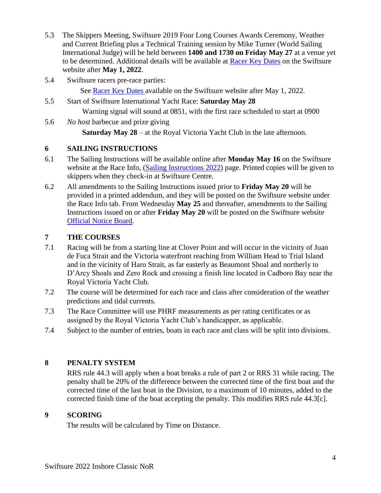- 5.3 The Skippers Meeting, Swiftsure 2019 Four Long Courses Awards Ceremony, Weather and Current Briefing plus a Technical Training session by Mike Turner (World Sailing International Judge) will be held between **1400 and 1730 on Friday May 27** at a venue yet to be determined. Additional details will be available at [Racer Key Dates](http://www.swiftsure.org/race-key-dates/) on the Swiftsure website after **May 1, 2022**.
- 5.4 Swiftsure racers pre-race parties: See [Racer Key Dates](http://www.swiftsure.org/race-key-dates/) available on the Swiftsure website after May 1, 2022.
- 5.5 Start of Swiftsure International Yacht Race: **Saturday May 28** Warning signal will sound at 0851, with the first race scheduled to start at 0900
- 5.6 *No host* barbecue and prize giving **Saturday May 28** – at the Royal Victoria Yacht Club in the late afternoon.

## **6 SAILING INSTRUCTIONS**

- 6.1 The Sailing Instructions will be available online after **Monday May 16** on the Swiftsure website at the Race Info, [\(Sailing Instructions](http://www.swiftsure.org/sailing-instructions/) 2022) page. Printed copies will be given to skippers when they check-in at Swiftsure Centre.
- 6.2 All amendments to the Sailing Instructions issued prior to **Friday May 20** will be provided in a printed addendum, and they will be posted on the Swiftsure website under the Race Info tab. From Wednesday **May 25** and thereafter, amendments to the Sailing Instructions issued on or after **Friday May 20** will be posted on the Swiftsure website [Official Notice Board.](http://www.swiftsure.org/official-notice-board/)

# **7 THE COURSES**

- 7.1 Racing will be from a starting line at Clover Point and will occur in the vicinity of Juan de Fuca Strait and the Victoria waterfront reaching from William Head to Trial Island and in the vicinity of Haro Strait, as far easterly as Beaumont Shoal and northerly to D'Arcy Shoals and Zero Rock and crossing a finish line located in Cadboro Bay near the Royal Victoria Yacht Club.
- 7.2 The course will be determined for each race and class after consideration of the weather predictions and tidal currents.
- 7.3 The Race Committee will use PHRF measurements as per rating certificates or as assigned by the Royal Victoria Yacht Club's handicapper, as applicable.
- 7.4 Subject to the number of entries, boats in each race and class will be split into divisions.

# **8 PENALTY SYSTEM**

RRS rule 44.3 will apply when a boat breaks a rule of part 2 or RRS 31 while racing. The penalty shall be 20% of the difference between the corrected time of the first boat and the corrected time of the last boat in the Division, to a maximum of 10 minutes, added to the corrected finish time of the boat accepting the penalty. This modifies RRS rule 44.3[c].

#### **9 SCORING**

The results will be calculated by Time on Distance.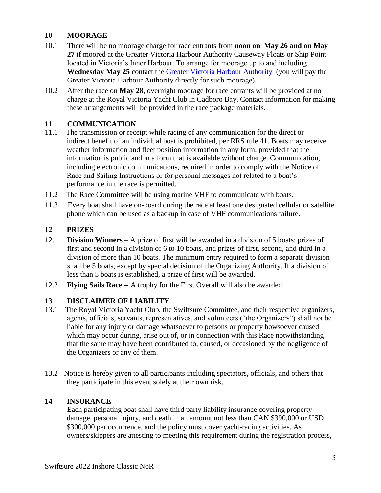## **10 MOORAGE**

- 10.1 There will be no moorage charge for race entrants from **noon on May 26 and on May 27** if moored at the Greater Victoria Harbour Authority Causeway Floats or Ship Point located in Victoria's Inner Harbour. To arrange for moorage up to and including **Wednesday May 25** contact the [Greater Victoria Harbour Authority](http://www.gvha.ca/marinas-facilities/marinas) (you will pay the Greater Victoria Harbour Authority directly for such moorage)**.**
- 10.2 After the race on **May 28**, overnight moorage for race entrants will be provided at no charge at the Royal Victoria Yacht Club in Cadboro Bay. Contact information for making these arrangements will be provided in the race package materials.

## **11 COMMUNICATION**

- 11.1 The transmission or receipt while racing of any communication for the direct or indirect benefit of an individual boat is prohibited, per RRS rule 41. Boats may receive weather information and fleet position information in any form, provided that the information is public and in a form that is available without charge. Communication, including electronic communications, required in order to comply with the Notice of Race and Sailing Instructions or for personal messages not related to a boat's performance in the race is permitted.
- 11.2 The Race Committee will be using marine VHF to communicate with boats.
- 11.3 Every boat shall have on-board during the race at least one designated cellular or satellite phone which can be used as a backup in case of VHF communications failure.

#### **12 PRIZES**

- 12.1 **Division Winners**  A prize of first will be awarded in a division of 5 boats: prizes of first and second in a division of 6 to 10 boats, and prizes of first, second, and third in a division of more than 10 boats. The minimum entry required to form a separate division shall be 5 boats, except by special decision of the Organizing Authority. If a division of less than 5 boats is established, a prize of first will be awarded.
- 12.2 **Flying Sails Race --** A trophy for the First Overall will also be awarded.

#### **13 DISCLAIMER OF LIABILITY**

- 13.1 The Royal Victoria Yacht Club, the Swiftsure Committee, and their respective organizers, agents, officials, servants, representatives, and volunteers ("the Organizers") shall not be liable for any injury or damage whatsoever to persons or property howsoever caused which may occur during, arise out of, or in connection with this Race notwithstanding that the same may have been contributed to, caused, or occasioned by the negligence of the Organizers or any of them.
- 13.2 Notice is hereby given to all participants including spectators, officials, and others that they participate in this event solely at their own risk.

#### **14 INSURANCE**

Each participating boat shall have third party liability insurance covering property damage, personal injury, and death in an amount not less than CAN \$390,000 or USD \$300,000 per occurrence, and the policy must cover yacht-racing activities. As owners/skippers are attesting to meeting this requirement during the registration process,